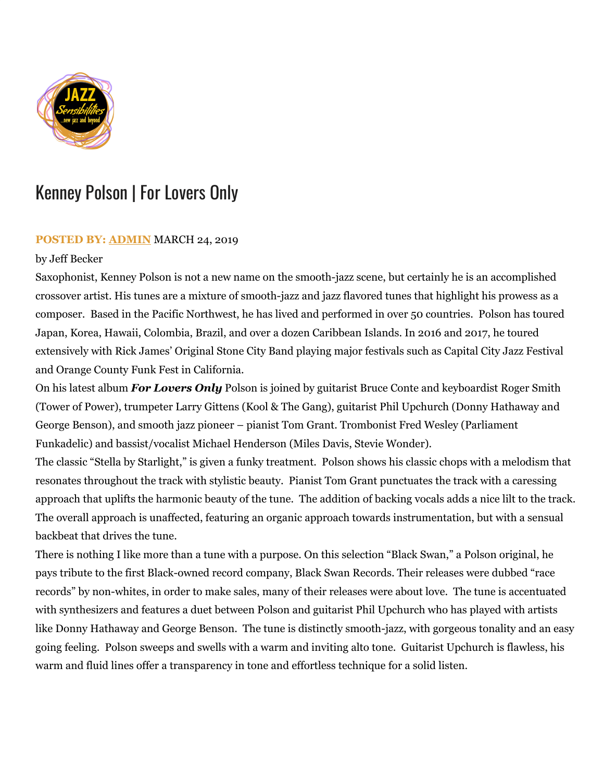

## Kenney Polson | For Lovers Only

## **POSTED BY: [ADMIN](https://jazzsensibilities.com/author/admin/)** MARCH 24, 2019

## by Jeff Becker

Saxophonist, Kenney Polson is not a new name on the smooth-jazz scene, but certainly he is an accomplished crossover artist. His tunes are a mixture of smooth-jazz and jazz flavored tunes that highlight his prowess as a composer. Based in the Pacific Northwest, he has lived and performed in over 50 countries. Polson has toured Japan, Korea, Hawaii, Colombia, Brazil, and over a dozen Caribbean Islands. In 2016 and 2017, he toured extensively with Rick James' Original Stone City Band playing major festivals such as Capital City Jazz Festival and Orange County Funk Fest in California.

On his latest album *For Lovers Only* Polson is joined by guitarist Bruce Conte and keyboardist Roger Smith (Tower of Power), trumpeter Larry Gittens (Kool & The Gang), guitarist Phil Upchurch (Donny Hathaway and George Benson), and smooth jazz pioneer – pianist Tom Grant. Trombonist Fred Wesley (Parliament Funkadelic) and bassist/vocalist Michael Henderson (Miles Davis, Stevie Wonder).

The classic "Stella by Starlight," is given a funky treatment. Polson shows his classic chops with a melodism that resonates throughout the track with stylistic beauty. Pianist Tom Grant punctuates the track with a caressing approach that uplifts the harmonic beauty of the tune. The addition of backing vocals adds a nice lilt to the track. The overall approach is unaffected, featuring an organic approach towards instrumentation, but with a sensual backbeat that drives the tune.

There is nothing I like more than a tune with a purpose. On this selection "Black Swan," a Polson original, he pays tribute to the first Black-owned record company, Black Swan Records. Their releases were dubbed "race records" by non-whites, in order to make sales, many of their releases were about love. The tune is accentuated with synthesizers and features a duet between Polson and guitarist Phil Upchurch who has played with artists like Donny Hathaway and George Benson. The tune is distinctly smooth-jazz, with gorgeous tonality and an easy going feeling. Polson sweeps and swells with a warm and inviting alto tone. Guitarist Upchurch is flawless, his warm and fluid lines offer a transparency in tone and effortless technique for a solid listen.